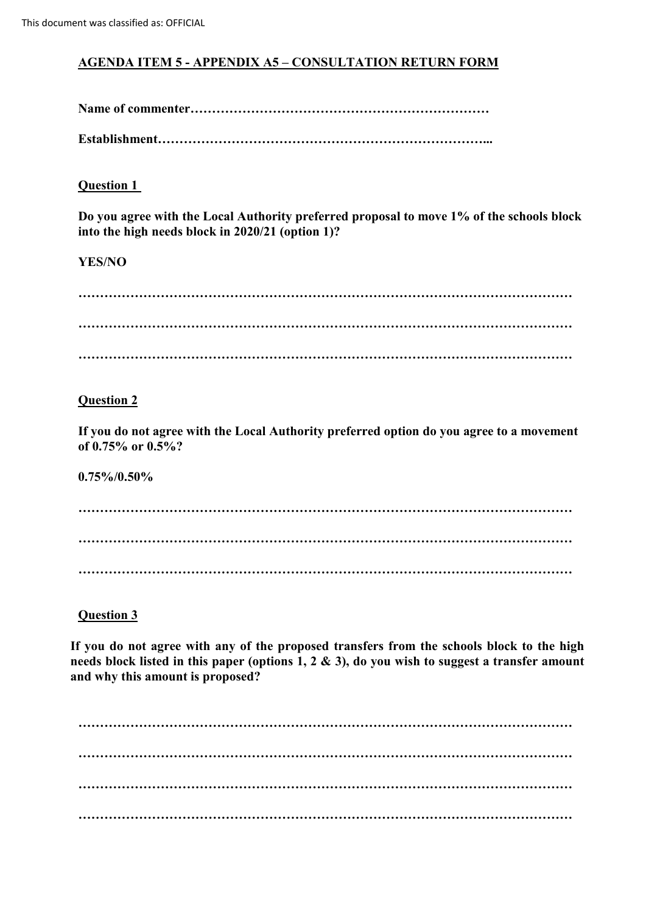# **AGENDA ITEM 5 - APPENDIX A5 – CONSULTATION RETURN FORM**

**Name of commenter……………………………………………………………**

**Establishment…………………………………………………………………...**

# **Question 1**

**Do you agree with the Local Authority preferred proposal to move 1% of the schools block into the high needs block in 2020/21 (option 1)?** 

# **YES/NO**

**…………………………………………………………………………………………………… …………………………………………………………………………………………………… ……………………………………………………………………………………………………**

### **Question 2**

**If you do not agree with the Local Authority preferred option do you agree to a movement of 0.75% or 0.5%?**

**0.75%/0.50%**

**…………………………………………………………………………………………………… …………………………………………………………………………………………………… ……………………………………………………………………………………………………**

**Question 3**

**If you do not agree with any of the proposed transfers from the schools block to the high needs block listed in this paper (options 1, 2 & 3), do you wish to suggest a transfer amount and why this amount is proposed?**

**…………………………………………………………………………………………………… …………………………………………………………………………………………………… …………………………………………………………………………………………………… ……………………………………………………………………………………………………**